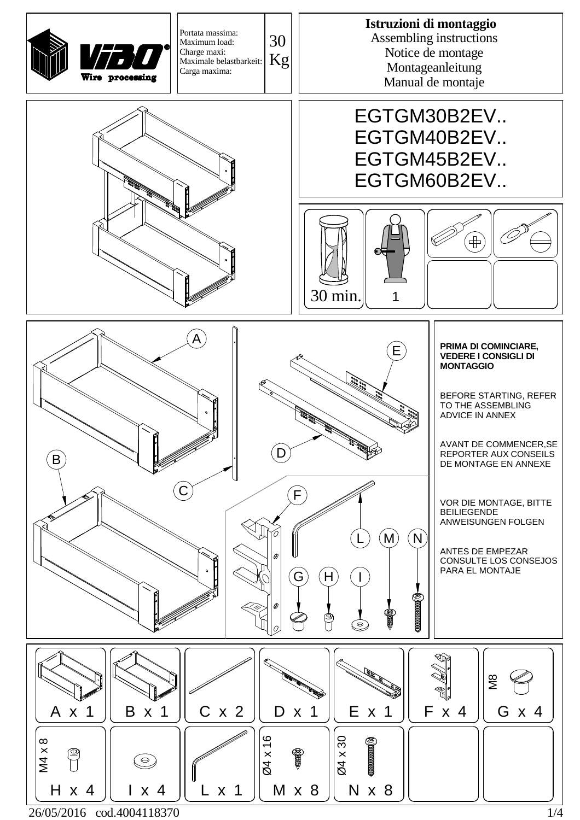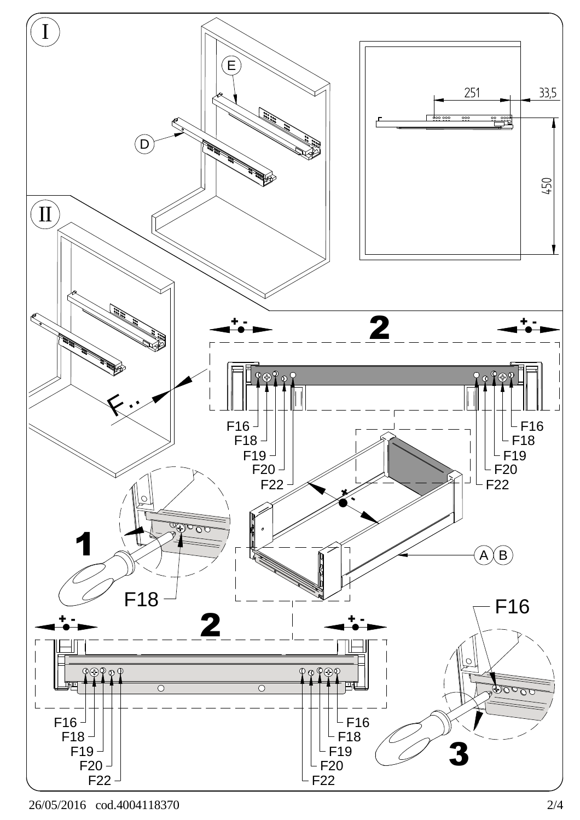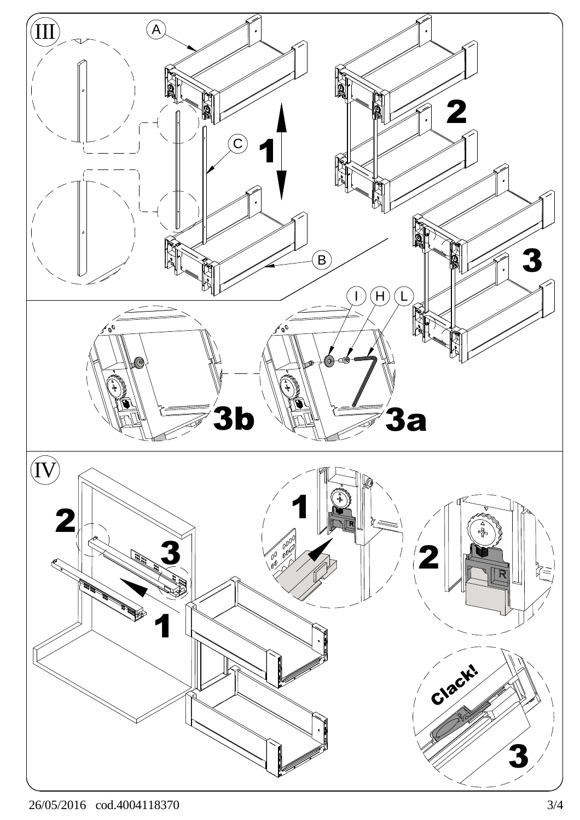